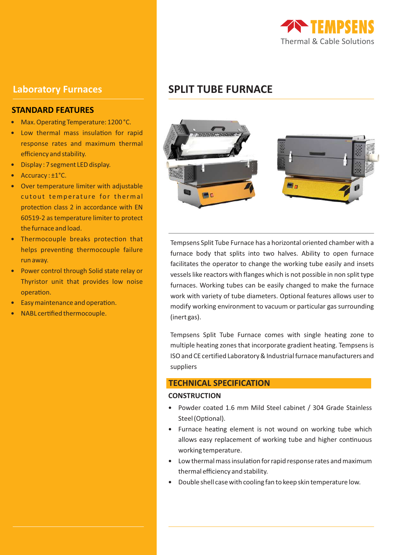

## **STANDARD FEATURES**

- Max. Operating Temperature: 1200 °C.
- Low thermal mass insulation for rapid response rates and maximum thermal efficiency and stability.
- Display : 7 segment LED display.
- Accuracy: ±1°C.
- Over temperature limiter with adjustable cutout temperature for thermal protection class 2 in accordance with EN 60519-2 as temperature limiter to protect the furnace and load.
- Thermocouple breaks protection that helps preventing thermocouple failure run away.
- Power control through Solid state relay or Thyristor unit that provides low noise operation.
- Easy maintenance and operation.
- NABL cerfied thermocouple.

# **Laboratory Furnaces SPLIT TUBE FURNACE**



Tempsens Split Tube Furnace has a horizontal oriented chamber with a furnace body that splits into two halves. Ability to open furnace facilitates the operator to change the working tube easily and insets vessels like reactors with flanges which is not possible in non split type furnaces. Working tubes can be easily changed to make the furnace work with variety of tube diameters. Optional features allows user to modify working environment to vacuum or particular gas surrounding (inert gas).

Tempsens Split Tube Furnace comes with single heating zone to multiple heating zones that incorporate gradient heating. Tempsens is ISO and CE certified Laboratory & Industrial furnace manufacturers and suppliers

### **TECHNICAL SPECIFICATION**

#### **CONSTRUCTION**

- Powder coated 1.6 mm Mild Steel cabinet / 304 Grade Stainless Steel (Optional).
- Furnace heating element is not wound on working tube which allows easy replacement of working tube and higher continuous working temperature.
- $\bullet$  Low thermal mass insulation for rapid response rates and maximum thermal efficiency and stability.
- Double shell case with cooling fan to keep skin temperature low.